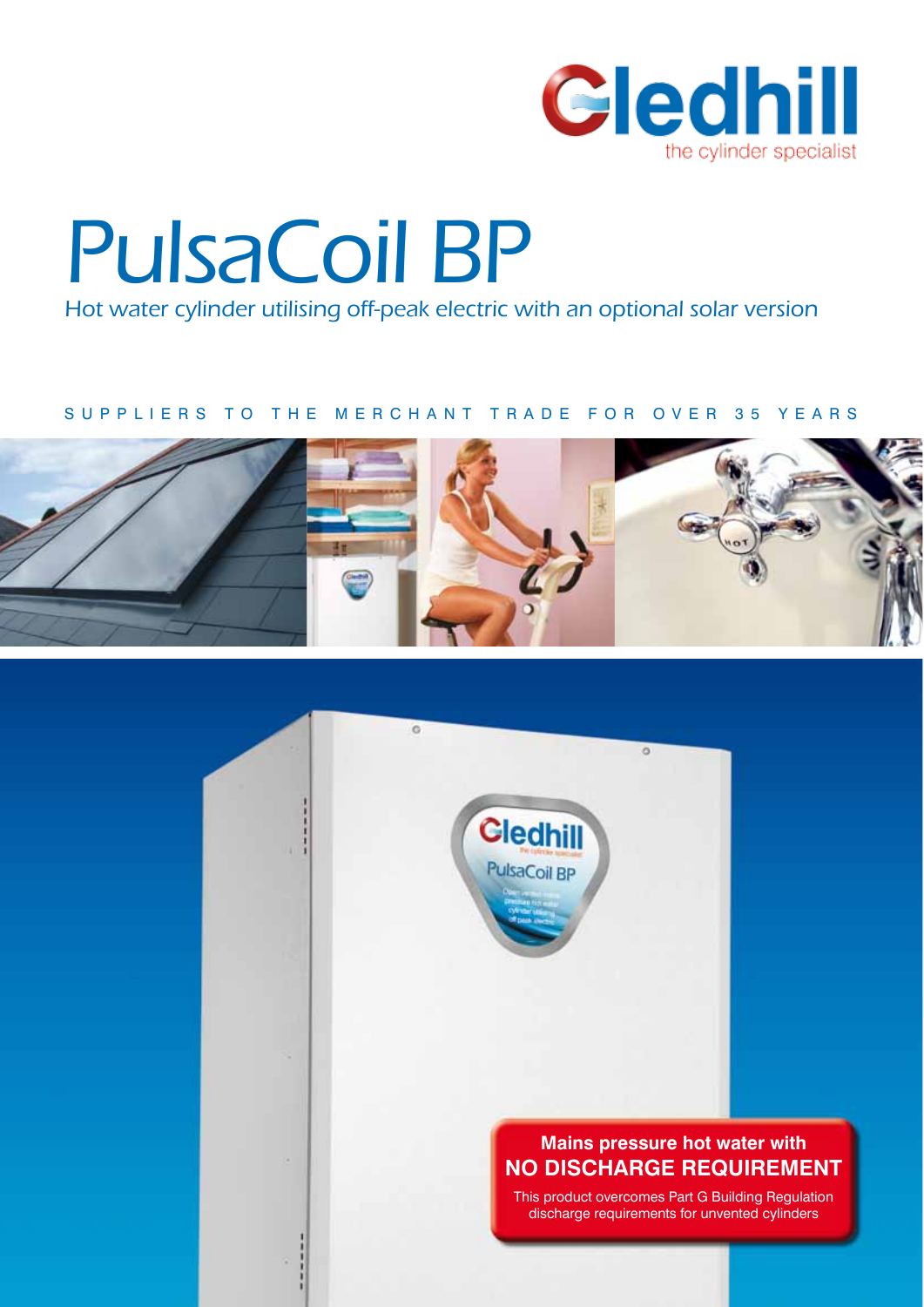

# PulsaCoil BP

Hot water cylinder utilising off-peak electric with an optional solar version

### SUPPLIERS TO THE MERCHANT TRADE FOR OVER 35 YEARS



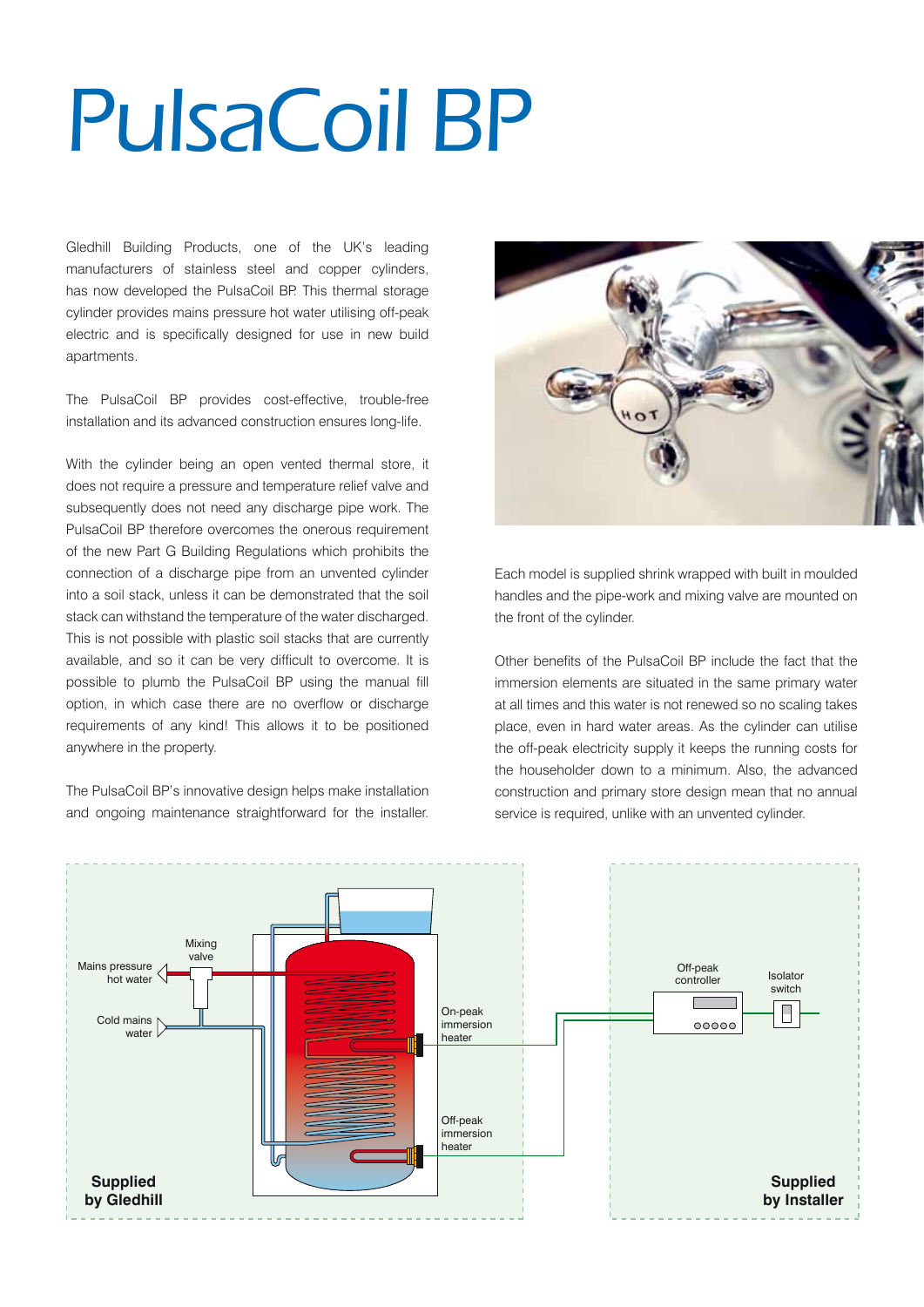# PulsaCoil BP

Gledhill Building Products, one of the UK's leading manufacturers of stainless steel and copper cylinders, has now developed the PulsaCoil BP. This thermal storage cylinder provides mains pressure hot water utilising off-peak electric and is specifically designed for use in new build apartments.

The PulsaCoil BP provides cost-effective, trouble-free installation and its advanced construction ensures long-life.

With the cylinder being an open vented thermal store, it does not require a pressure and temperature relief valve and subsequently does not need any discharge pipe work. The PulsaCoil BP therefore overcomes the onerous requirement of the new Part G Building Regulations which prohibits the connection of a discharge pipe from an unvented cylinder into a soil stack, unless it can be demonstrated that the soil stack can withstand the temperature of the water discharged. This is not possible with plastic soil stacks that are currently available, and so it can be very difficult to overcome. It is possible to plumb the PulsaCoil BP using the manual fill option, in which case there are no overflow or discharge requirements of any kind! This allows it to be positioned anywhere in the property.

The PulsaCoil BP's innovative design helps make installation and ongoing maintenance straightforward for the installer.



Each model is supplied shrink wrapped with built in moulded handles and the pipe-work and mixing valve are mounted on the front of the cylinder.

Other benefits of the PulsaCoil BP include the fact that the immersion elements are situated in the same primary water at all times and this water is not renewed so no scaling takes place, even in hard water areas. As the cylinder can utilise the off-peak electricity supply it keeps the running costs for the householder down to a minimum. Also, the advanced construction and primary store design mean that no annual service is required, unlike with an unvented cylinder.

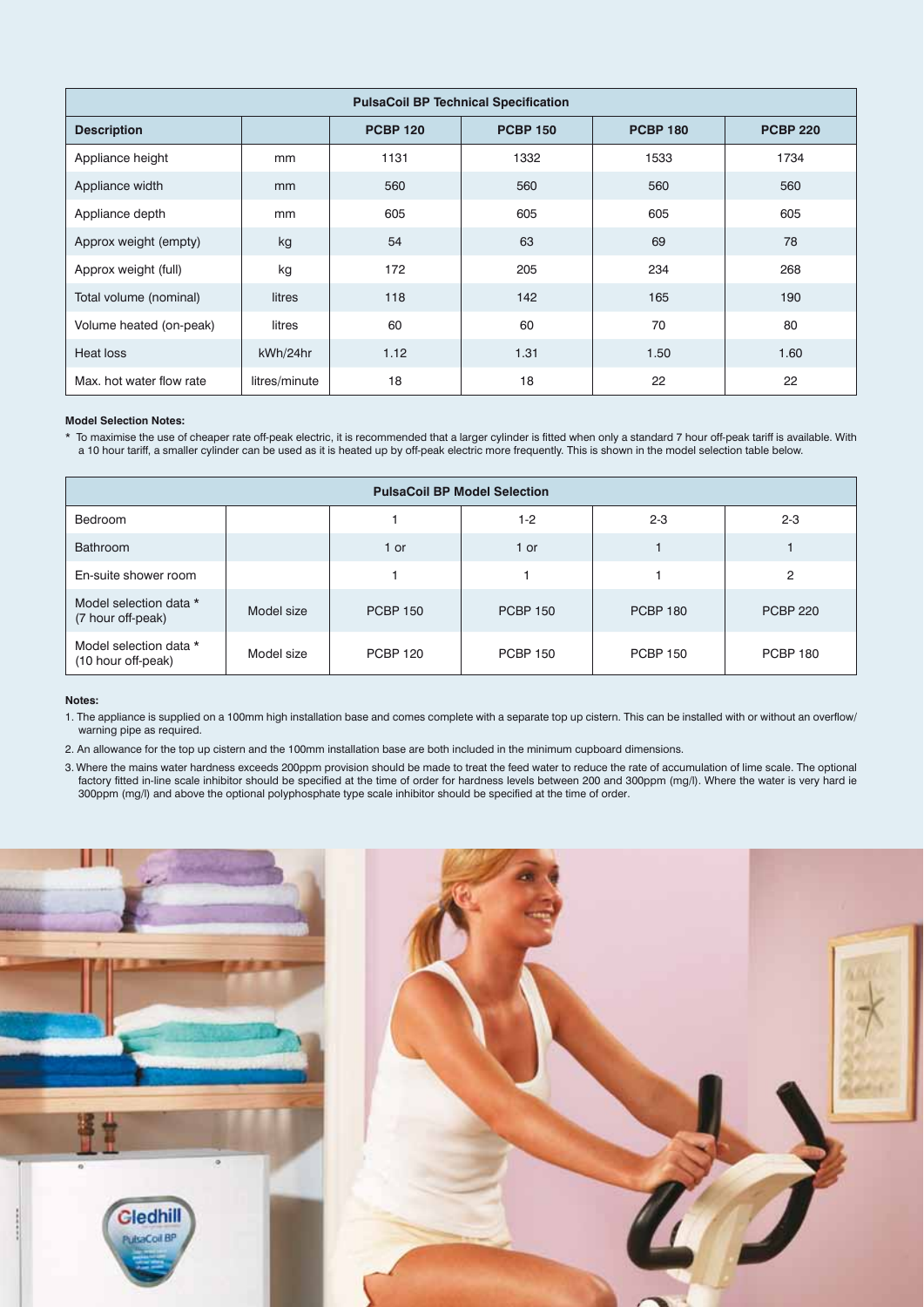|                          |               |                 | <b>PulsaCoil BP Technical Specification</b> |                 |                 |
|--------------------------|---------------|-----------------|---------------------------------------------|-----------------|-----------------|
| <b>Description</b>       |               | <b>PCBP 120</b> | <b>PCBP 150</b>                             | <b>PCBP 180</b> | <b>PCBP 220</b> |
| Appliance height         | mm            | 1131            | 1332                                        | 1533            | 1734            |
| Appliance width          | mm            | 560             | 560                                         | 560             | 560             |
| Appliance depth          | mm            | 605             | 605                                         | 605             | 605             |
| Approx weight (empty)    | kg            | 54              | 63                                          | 69              | 78              |
| Approx weight (full)     | kg            | 172             | 205                                         | 234             | 268             |
| Total volume (nominal)   | litres        | 118             | 142                                         | 165             | 190             |
| Volume heated (on-peak)  | litres        | 60              | 60                                          | 70              | 80              |
| Heat loss                | kWh/24hr      | $1.12$          | 1.31                                        | 1.50            | 1.60            |
| Max. hot water flow rate | litres/minute | 18              | 18                                          | 22              | 22              |

#### **Model Selection Notes:**

\* To maximise the use of cheaper rate off-peak electric, it is recommended that a larger cylinder is fitted when only a standard 7 hour off-peak tariff is available. With a 10 hour tariff, a smaller cylinder can be used as it is heated up by off-peak electric more frequently. This is shown in the model selection table below.

| <b>PulsaCoil BP Model Selection</b>          |            |                 |                 |                 |                 |  |  |
|----------------------------------------------|------------|-----------------|-----------------|-----------------|-----------------|--|--|
| Bedroom                                      |            |                 | $1-2$           | $2 - 3$         | $2 - 3$         |  |  |
| <b>Bathroom</b>                              |            | 1 or            | 1 or            |                 |                 |  |  |
| En-suite shower room                         |            |                 |                 |                 | 2               |  |  |
| Model selection data *<br>(7 hour off-peak)  | Model size | <b>PCBP 150</b> | <b>PCBP 150</b> | <b>PCBP 180</b> | <b>PCBP 220</b> |  |  |
| Model selection data *<br>(10 hour off-peak) | Model size | <b>PCBP 120</b> | <b>PCBP 150</b> | <b>PCBP 150</b> | <b>PCBP 180</b> |  |  |

#### **Notes:**

1. The appliance is supplied on a 100mm high installation base and comes complete with a separate top up cistern. This can be installed with or without an overflow/ warning pipe as required.

2. An allowance for the top up cistern and the 100mm installation base are both included in the minimum cupboard dimensions.

3. Where the mains water hardness exceeds 200ppm provision should be made to treat the feed water to reduce the rate of accumulation of lime scale. The optional factory fitted in-line scale inhibitor should be specified at the time of order for hardness levels between 200 and 300ppm (mg/l). Where the water is very hard ie 300ppm (mg/l) and above the optional polyphosphate type scale inhibitor should be specified at the time of order.



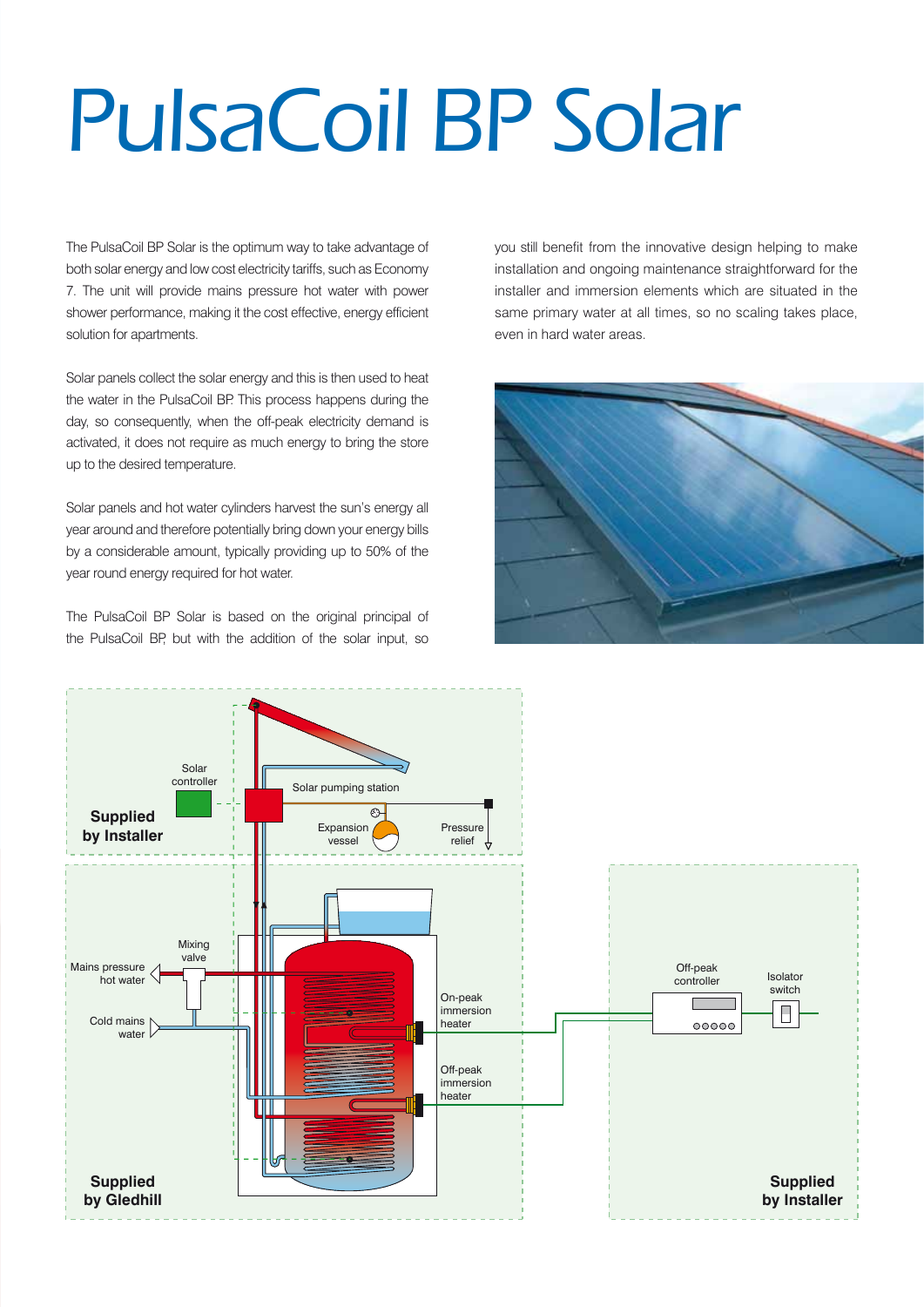# PulsaCoil BP Solar

The PulsaCoil BP Solar is the optimum way to take advantage of both solar energy and low cost electricity tariffs, such as Economy 7. The unit will provide mains pressure hot water with power shower performance, making it the cost effective, energy efficient solution for apartments.

Solar panels collect the solar energy and this is then used to heat the water in the PulsaCoil BP. This process happens during the day, so consequently, when the off-peak electricity demand is activated, it does not require as much energy to bring the store up to the desired temperature.

Solar panels and hot water cylinders harvest the sun's energy all year around and therefore potentially bring down your energy bills by a considerable amount, typically providing up to 50% of the year round energy required for hot water.

The PulsaCoil BP Solar is based on the original principal of the PulsaCoil BP, but with the addition of the solar input, so

you still benefit from the innovative design helping to make installation and ongoing maintenance straightforward for the installer and immersion elements which are situated in the same primary water at all times, so no scaling takes place, even in hard water areas.



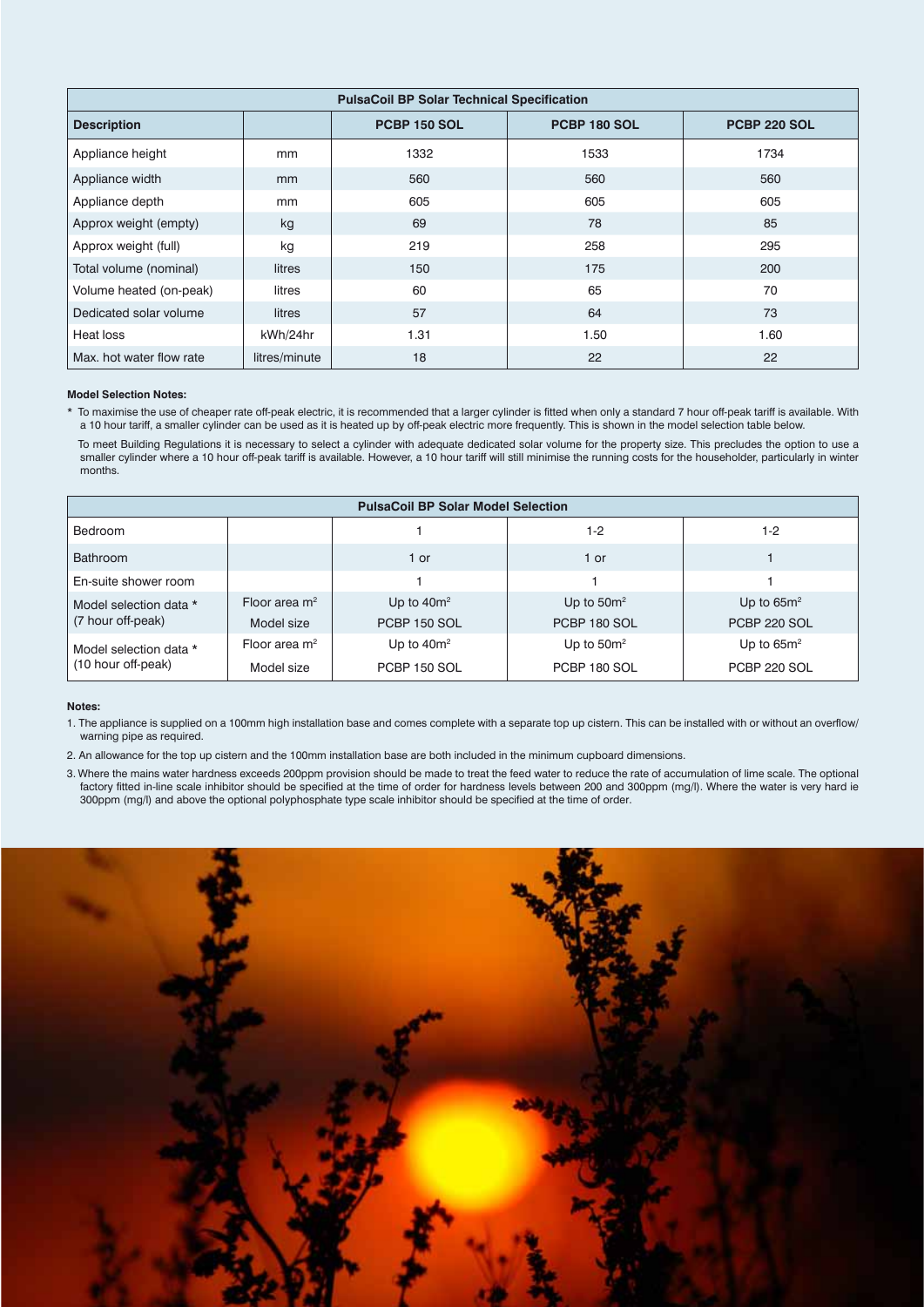| <b>PulsaCoil BP Solar Technical Specification</b> |               |                     |                     |                     |  |  |
|---------------------------------------------------|---------------|---------------------|---------------------|---------------------|--|--|
| <b>Description</b>                                |               | <b>PCBP 150 SOL</b> | <b>PCBP 180 SOL</b> | <b>PCBP 220 SOL</b> |  |  |
| Appliance height                                  | mm            | 1332                | 1533                | 1734                |  |  |
| Appliance width                                   | mm            | 560                 | 560                 | 560                 |  |  |
| Appliance depth                                   | mm            | 605                 | 605                 | 605                 |  |  |
| Approx weight (empty)                             | kg            | 69                  | 78                  | 85                  |  |  |
| Approx weight (full)                              | kg            | 219                 | 258                 | 295                 |  |  |
| Total volume (nominal)                            | litres        | 150                 | 175                 | 200                 |  |  |
| Volume heated (on-peak)                           | litres        | 60                  | 65                  | 70                  |  |  |
| Dedicated solar volume                            | litres        | 57                  | 64                  | 73                  |  |  |
| Heat loss                                         | kWh/24hr      | 1.31                | 1.50                | 1.60                |  |  |
| Max, hot water flow rate                          | litres/minute | 18                  | 22                  | 22                  |  |  |

#### **Model Selection Notes:**

To maximise the use of cheaper rate off-peak electric, it is recommended that a larger cylinder is fitted when only a standard 7 hour off-peak tariff is available. With a 10 hour tariff, a smaller cylinder can be used as it is heated up by off-peak electric more frequently. This is shown in the model selection table below.

To meet Building Regulations it is necessary to select a cylinder with adequate dedicated solar volume for the property size. This precludes the option to use a smaller cylinder where a 10 hour off-peak tariff is available. However, a 10 hour tariff will still minimise the running costs for the householder, particularly in winter months.

| <b>PulsaCoil BP Solar Model Selection</b>    |                 |                     |               |               |  |  |
|----------------------------------------------|-----------------|---------------------|---------------|---------------|--|--|
| <b>Bedroom</b>                               |                 |                     | $1 - 2$       | 1-2           |  |  |
| <b>Bathroom</b>                              |                 | 1 or                | 1 or          |               |  |  |
| En-suite shower room                         |                 |                     |               |               |  |  |
| Model selection data *<br>(7 hour off-peak)  | Floor area $m2$ | Up to $40m^2$       | Up to $50m^2$ | Up to $65m^2$ |  |  |
|                                              | Model size      | <b>PCBP 150 SOL</b> | PCBP 180 SOL  | PCBP 220 SOL  |  |  |
| Model selection data *<br>(10 hour off-peak) | Floor area $m2$ | Up to $40m^2$       | Up to $50m^2$ | Up to $65m^2$ |  |  |
|                                              | Model size      | PCBP 150 SOL        | PCBP 180 SOL  | PCBP 220 SOL  |  |  |

#### **Notes:**

1. The appliance is supplied on a 100mm high installation base and comes complete with a separate top up cistern. This can be installed with or without an overflow/ warning pipe as required.

2. An allowance for the top up cistern and the 100mm installation base are both included in the minimum cupboard dimensions.

3. Where the mains water hardness exceeds 200ppm provision should be made to treat the feed water to reduce the rate of accumulation of lime scale. The optional factory fitted in-line scale inhibitor should be specified at the time of order for hardness levels between 200 and 300ppm (mg/l). Where the water is very hard ie 300ppm (mg/l) and above the optional polyphosphate type scale inhibitor should be specified at the time of order.